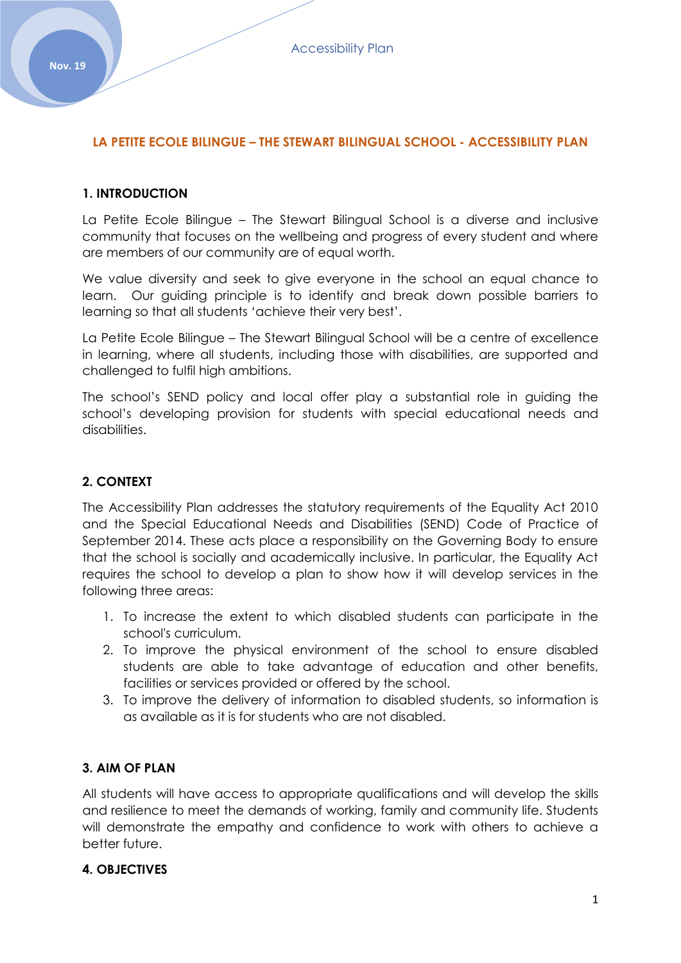# **LA PETITE ECOLE BILINGUE – THE STEWART BILINGUAL SCHOOL - ACCESSIBILITY PLAN**

#### **1. INTRODUCTION**

La Petite Ecole Bilingue – The Stewart Bilingual School is a diverse and inclusive community that focuses on the wellbeing and progress of every student and where are members of our community are of equal worth.

We value diversity and seek to give everyone in the school an equal chance to learn. Our guiding principle is to identify and break down possible barriers to learning so that all students 'achieve their very best'.

La Petite Ecole Bilingue – The Stewart Bilingual School will be a centre of excellence in learning, where all students, including those with disabilities, are supported and challenged to fulfil high ambitions.

The school's SEND policy and local offer play a substantial role in guiding the school's developing provision for students with special educational needs and disabilities.

# **2. CONTEXT**

The Accessibility Plan addresses the statutory requirements of the Equality Act 2010 and the Special Educational Needs and Disabilities (SEND) Code of Practice of September 2014. These acts place a responsibility on the Governing Body to ensure that the school is socially and academically inclusive. In particular, the Equality Act requires the school to develop a plan to show how it will develop services in the following three areas:

- 1. To increase the extent to which disabled students can participate in the school's curriculum.
- 2. To improve the physical environment of the school to ensure disabled students are able to take advantage of education and other benefits, facilities or services provided or offered by the school.
- 3. To improve the delivery of information to disabled students, so information is as available as it is for students who are not disabled.

# **3. AIM OF PLAN**

All students will have access to appropriate qualifications and will develop the skills and resilience to meet the demands of working, family and community life. Students will demonstrate the empathy and confidence to work with others to achieve a better future.

#### **4. OBJECTIVES**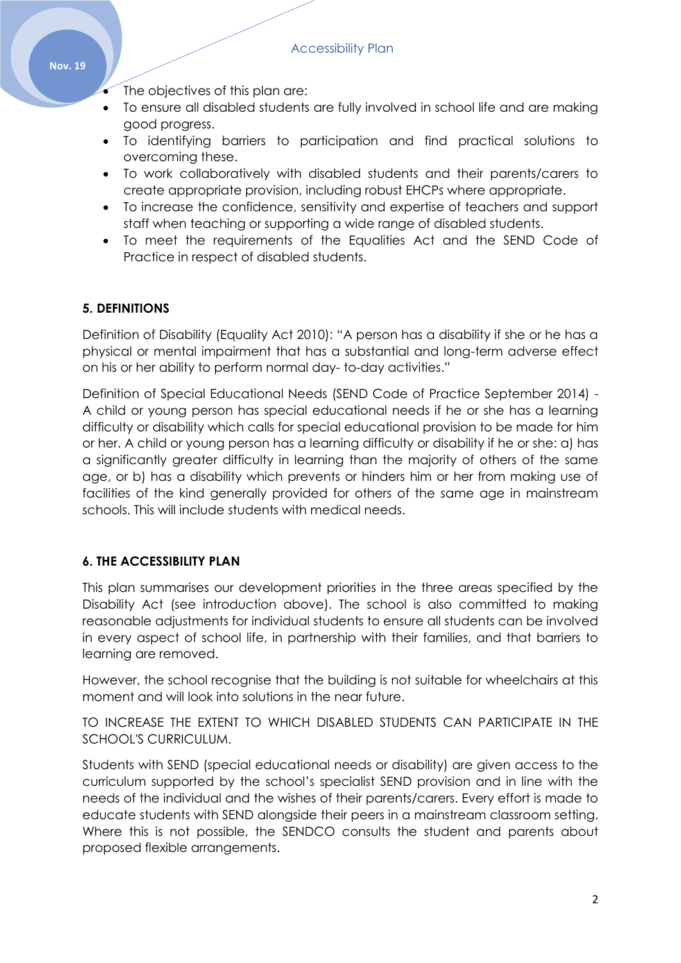- The objectives of this plan are:
- To ensure all disabled students are fully involved in school life and are making good progress.
- To identifying barriers to participation and find practical solutions to overcoming these.
- To work collaboratively with disabled students and their parents/carers to create appropriate provision, including robust EHCPs where appropriate.
- To increase the confidence, sensitivity and expertise of teachers and support staff when teaching or supporting a wide range of disabled students.
- To meet the requirements of the Equalities Act and the SEND Code of Practice in respect of disabled students.

# **5. DEFINITIONS**

Definition of Disability (Equality Act 2010): "A person has a disability if she or he has a physical or mental impairment that has a substantial and long-term adverse effect on his or her ability to perform normal day- to-day activities."

Definition of Special Educational Needs (SEND Code of Practice September 2014) - A child or young person has special educational needs if he or she has a learning difficulty or disability which calls for special educational provision to be made for him or her. A child or young person has a learning difficulty or disability if he or she: a) has a significantly greater difficulty in learning than the majority of others of the same age, or b) has a disability which prevents or hinders him or her from making use of facilities of the kind generally provided for others of the same age in mainstream schools. This will include students with medical needs.

# **6. THE ACCESSIBILITY PLAN**

This plan summarises our development priorities in the three areas specified by the Disability Act (see introduction above). The school is also committed to making reasonable adjustments for individual students to ensure all students can be involved in every aspect of school life, in partnership with their families, and that barriers to learning are removed.

However, the school recognise that the building is not suitable for wheelchairs at this moment and will look into solutions in the near future.

TO INCREASE THE EXTENT TO WHICH DISABLED STUDENTS CAN PARTICIPATE IN THE SCHOOL'S CURRICULUM.

Students with SEND (special educational needs or disability) are given access to the curriculum supported by the school's specialist SEND provision and in line with the needs of the individual and the wishes of their parents/carers. Every effort is made to educate students with SEND alongside their peers in a mainstream classroom setting. Where this is not possible, the SENDCO consults the student and parents about proposed flexible arrangements.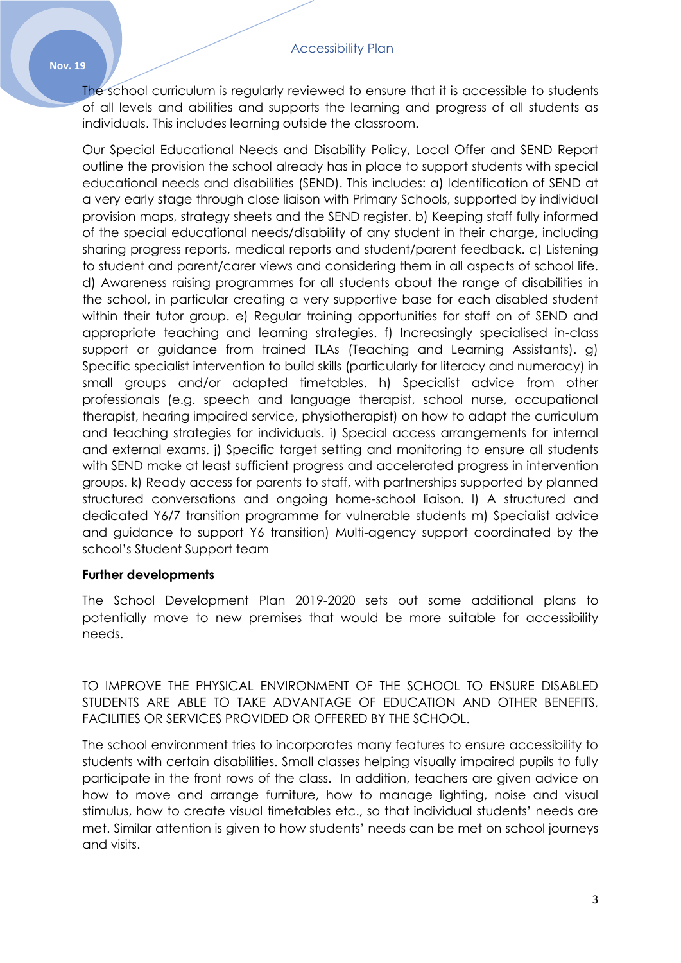The school curriculum is regularly reviewed to ensure that it is accessible to students of all levels and abilities and supports the learning and progress of all students as individuals. This includes learning outside the classroom.

Our Special Educational Needs and Disability Policy, Local Offer and SEND Report outline the provision the school already has in place to support students with special educational needs and disabilities (SEND). This includes: a) Identification of SEND at a very early stage through close liaison with Primary Schools, supported by individual provision maps, strategy sheets and the SEND register. b) Keeping staff fully informed of the special educational needs/disability of any student in their charge, including sharing progress reports, medical reports and student/parent feedback. c) Listening to student and parent/carer views and considering them in all aspects of school life. d) Awareness raising programmes for all students about the range of disabilities in the school, in particular creating a very supportive base for each disabled student within their tutor group. e) Regular training opportunities for staff on of SEND and appropriate teaching and learning strategies. f) Increasingly specialised in-class support or guidance from trained TLAs (Teaching and Learning Assistants). g) Specific specialist intervention to build skills (particularly for literacy and numeracy) in small groups and/or adapted timetables. h) Specialist advice from other professionals (e.g. speech and language therapist, school nurse, occupational therapist, hearing impaired service, physiotherapist) on how to adapt the curriculum and teaching strategies for individuals. i) Special access arrangements for internal and external exams. j) Specific target setting and monitoring to ensure all students with SEND make at least sufficient progress and accelerated progress in intervention groups. k) Ready access for parents to staff, with partnerships supported by planned structured conversations and ongoing home-school liaison. l) A structured and dedicated Y6/7 transition programme for vulnerable students m) Specialist advice and guidance to support Y6 transition) Multi-agency support coordinated by the school's Student Support team

# **Further developments**

The School Development Plan 2019-2020 sets out some additional plans to potentially move to new premises that would be more suitable for accessibility needs.

TO IMPROVE THE PHYSICAL ENVIRONMENT OF THE SCHOOL TO ENSURE DISABLED STUDENTS ARE ABLE TO TAKE ADVANTAGE OF EDUCATION AND OTHER BENEFITS, FACILITIES OR SERVICES PROVIDED OR OFFERED BY THE SCHOOL.

The school environment tries to incorporates many features to ensure accessibility to students with certain disabilities. Small classes helping visually impaired pupils to fully participate in the front rows of the class. In addition, teachers are given advice on how to move and arrange furniture, how to manage lighting, noise and visual stimulus, how to create visual timetables etc., so that individual students' needs are met. Similar attention is given to how students' needs can be met on school journeys and visits.